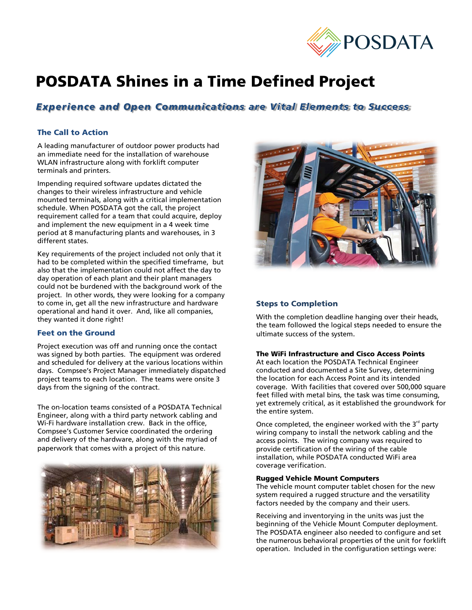

# POSDATA Shines in a Time Defined Project

# *Experience and Open Communications are Vital Elements to Success*

# The Call to Action

A leading manufacturer of outdoor power products had an immediate need for the installation of warehouse WLAN infrastructure along with forklift computer terminals and printers.

Impending required software updates dictated the changes to their wireless infrastructure and vehicle mounted terminals, along with a critical implementation schedule. When POSDATA got the call, the project requirement called for a team that could acquire, deploy and implement the new equipment in a 4 week time period at 8 manufacturing plants and warehouses, in 3 different states.

Key requirements of the project included not only that it had to be completed within the specified timeframe, but also that the implementation could not affect the day to day operation of each plant and their plant managers could not be burdened with the background work of the project. In other words, they were looking for a company to come in, get all the new infrastructure and hardware operational and hand it over. And, like all companies, they wanted it done right!

## Feet on the Ground

Project execution was off and running once the contact was signed by both parties. The equipment was ordered and scheduled for delivery at the various locations within days. Compsee's Project Manager immediately dispatched project teams to each location. The teams were onsite 3 days from the signing of the contract.

The on-location teams consisted of a POSDATA Technical Engineer, along with a third party network cabling and Wi-Fi hardware installation crew. Back in the office, Compsee's Customer Service coordinated the ordering and delivery of the hardware, along with the myriad of paperwork that comes with a project of this nature.





# Steps to Completion

With the completion deadline hanging over their heads, the team followed the logical steps needed to ensure the ultimate success of the system.

#### The WiFi Infrastructure and Cisco Access Points

At each location the POSDATA Technical Engineer conducted and documented a Site Survey, determining the location for each Access Point and its intended coverage. With facilities that covered over 500,000 square feet filled with metal bins, the task was time consuming, yet extremely critical, as it established the groundwork for the entire system.

Once completed, the engineer worked with the  $3<sup>rd</sup>$  party wiring company to install the network cabling and the access points. The wiring company was required to provide certification of the wiring of the cable installation, while POSDATA conducted WiFi area coverage verification.

#### Rugged Vehicle Mount Computers

The vehicle mount computer tablet chosen for the new system required a rugged structure and the versatility factors needed by the company and their users.

Receiving and inventorying in the units was just the beginning of the Vehicle Mount Computer deployment. The POSDATA engineer also needed to configure and set the numerous behavioral properties of the unit for forklift operation. Included in the configuration settings were: